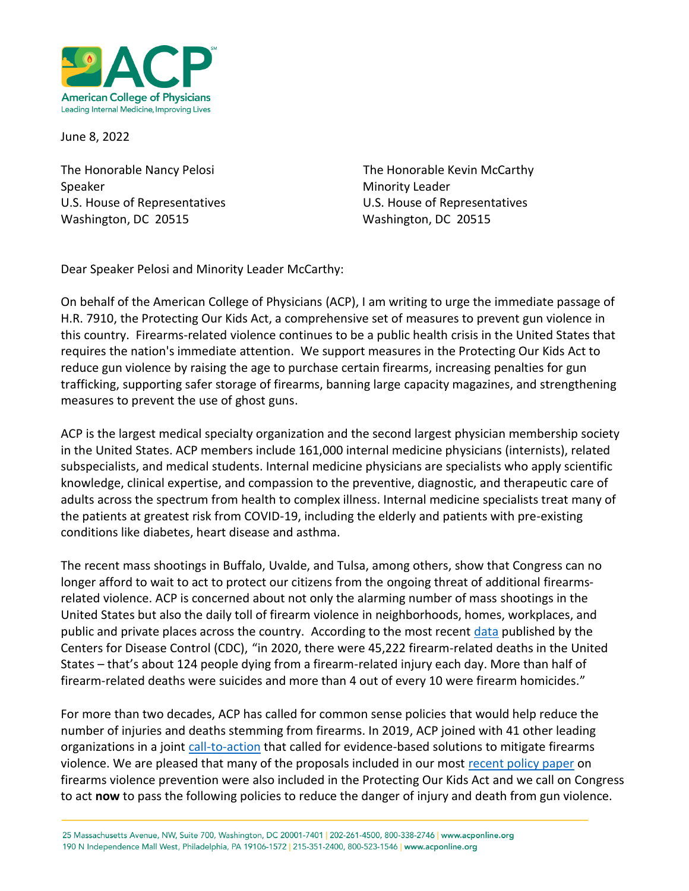

June 8, 2022

Speaker Minority Leader Washington, DC 20515 Washington, DC 20515

The Honorable Nancy Pelosi **The Honorable Kevin McCarthy** U.S. House of Representatives U.S. House of Representatives

Dear Speaker Pelosi and Minority Leader McCarthy:

On behalf of the American College of Physicians (ACP), I am writing to urge the immediate passage of H.R. 7910, the Protecting Our Kids Act, a comprehensive set of measures to prevent gun violence in this country. Firearms-related violence continues to be a public health crisis in the United States that requires the nation's immediate attention. We support measures in the Protecting Our Kids Act to reduce gun violence by raising the age to purchase certain firearms, increasing penalties for gun trafficking, supporting safer storage of firearms, banning large capacity magazines, and strengthening measures to prevent the use of ghost guns.

ACP is the largest medical specialty organization and the second largest physician membership society in the United States. ACP members include 161,000 internal medicine physicians (internists), related subspecialists, and medical students. Internal medicine physicians are specialists who apply scientific knowledge, clinical expertise, and compassion to the preventive, diagnostic, and therapeutic care of adults across the spectrum from health to complex illness. Internal medicine specialists treat many of the patients at greatest risk from COVID-19, including the elderly and patients with pre-existing conditions like diabetes, heart disease and asthma.

The recent mass shootings in Buffalo, Uvalde, and Tulsa, among others, show that Congress can no longer afford to wait to act to protect our citizens from the ongoing threat of additional firearmsrelated violence. ACP is concerned about not only the alarming number of mass shootings in the United States but also the daily toll of firearm violence in neighborhoods, homes, workplaces, and public and private places across the country. According to the most recent [data](https://www.cdc.gov/violenceprevention/firearms/fastfact.html) published by the Centers for Disease Control (CDC), "in 2020, there were 45,222 firearm-related deaths in the United States – that's about 124 people dying from a firearm-related injury each day. More than half of firearm-related deaths were suicides and more than 4 out of every 10 were firearm homicides."

For more than two decades, ACP has called for common sense policies that would help reduce the number of injuries and deaths stemming from firearms. In 2019, ACP joined with 41 other leading organizations in a joint [call-to-action](https://www.acponline.org/acp-newsroom/acp-and-41-leading-organizations-announce-agreement-on-call-to-action-to-reduce-gun-violence) that called for evidence-based solutions to mitigate firearms violence. We are pleased that many of the proposals included in our most [recent policy paper](https://www.acpjournals.org/doi/full/10.7326/M18-1530?journalCode=aim) on firearms violence prevention were also included in the Protecting Our Kids Act and we call on Congress to act **now** to pass the following policies to reduce the danger of injury and death from gun violence.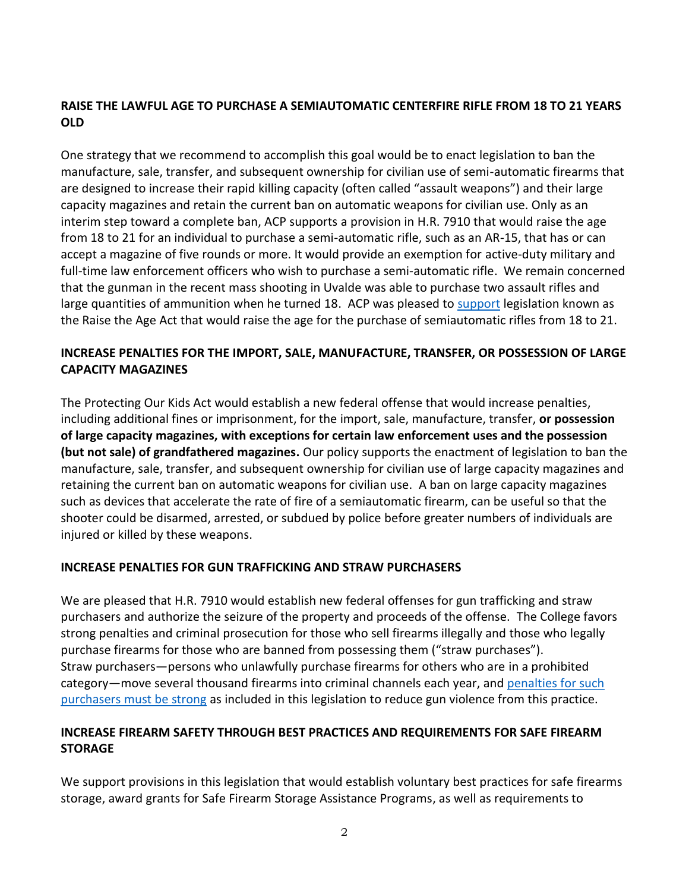# **RAISE THE LAWFUL AGE TO PURCHASE A SEMIAUTOMATIC CENTERFIRE RIFLE FROM 18 TO 21 YEARS OLD**

One strategy that we recommend to accomplish this goal would be to enact legislation to ban the manufacture, sale, transfer, and subsequent ownership for civilian use of semi-automatic firearms that are designed to increase their rapid killing capacity (often called "assault weapons") and their large capacity magazines and retain the current ban on automatic weapons for civilian use. Only as an interim step toward a complete ban, ACP supports a provision in H.R. 7910 that would raise the age from 18 to 21 for an individual to purchase a semi-automatic rifle, such as an AR-15, that has or can accept a magazine of five rounds or more. It would provide an exemption for active-duty military and full-time law enforcement officers who wish to purchase a semi-automatic rifle. We remain concerned that the gunman in the recent mass shooting in Uvalde was able to purchase two assault rifles and large quantities of ammunition when he turned 18. ACP was pleased to [support](https://www.acponline.org/acp_policy/letters/letter_of_support_raise_the_age_act_firearms_2019.pdf) legislation known as the Raise the Age Act that would raise the age for the purchase of semiautomatic rifles from 18 to 21.

# **INCREASE PENALTIES FOR THE IMPORT, SALE, MANUFACTURE, TRANSFER, OR POSSESSION OF LARGE CAPACITY MAGAZINES**

The Protecting Our Kids Act would establish a new federal offense that would increase penalties, including additional fines or imprisonment, for the import, sale, manufacture, transfer, **or possession of large capacity magazines, with exceptions for certain law enforcement uses and the possession (but not sale) of grandfathered magazines.** Our policy supports the enactment of legislation to ban the manufacture, sale, transfer, and subsequent ownership for civilian use of large capacity magazines and retaining the current ban on automatic weapons for civilian use. A ban on large capacity magazines such as devices that accelerate the rate of fire of a semiautomatic firearm, can be useful so that the shooter could be disarmed, arrested, or subdued by police before greater numbers of individuals are injured or killed by these weapons.

## **INCREASE PENALTIES FOR GUN TRAFFICKING AND STRAW PURCHASERS**

We are pleased that H.R. 7910 would establish new federal offenses for gun trafficking and straw purchasers and authorize the seizure of the property and proceeds of the offense. The College favors strong penalties and criminal prosecution for those who sell firearms illegally and those who legally purchase firearms for those who are banned from possessing them ("straw purchases"). Straw purchasers—persons who unlawfully purchase firearms for others who are in a prohibited category—move several thousand firearms into criminal channels each year, an[d penalties for such](https://www.ojp.gov/pdffiles1/nij/grants/221074.pdf)  purchasers [must be strong](https://www.ojp.gov/pdffiles1/nij/grants/221074.pdf) as included in this legislation to reduce gun violence from this practice.

# **INCREASE FIREARM SAFETY THROUGH BEST PRACTICES AND REQUIREMENTS FOR SAFE FIREARM STORAGE**

We support provisions in this legislation that would establish voluntary best practices for safe firearms storage, award grants for Safe Firearm Storage Assistance Programs, as well as requirements to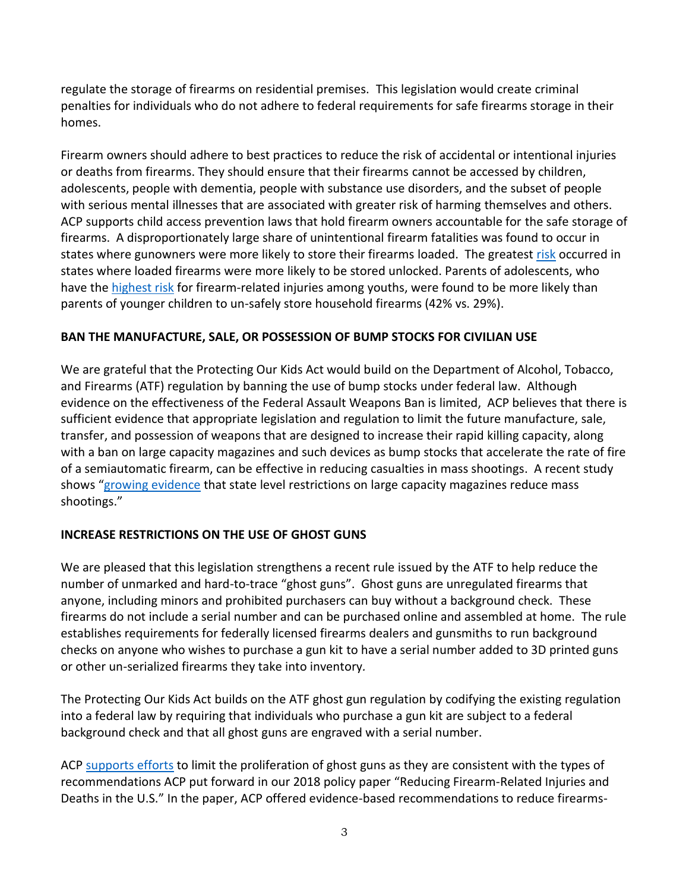regulate the storage of firearms on residential premises. This legislation would create criminal penalties for individuals who do not adhere to federal requirements for safe firearms storage in their homes.

Firearm owners should adhere to best practices to reduce the risk of accidental or intentional injuries or deaths from firearms. They should ensure that their firearms cannot be accessed by children, adolescents, people with dementia, people with substance use disorders, and the subset of people with serious mental illnesses that are associated with greater risk of harming themselves and others. ACP supports child access prevention laws that hold firearm owners accountable for the safe storage of firearms. A disproportionately large share of unintentional firearm fatalities was found to occur in states where gunowners were more likely to store their firearms loaded. The greates[t risk](https://pubmed.ncbi.nlm.nih.gov/15949457/) occurred in states where loaded firearms were more likely to be stored unlocked. Parents of adolescents, who have the [highest risk](https://www.semanticscholar.org/paper/Are-household-firearms-stored-less-safely-in-homes-Johnson-Miller/a7c96989e97cb2ff3657e00da518a9c12d24a1be) for firearm-related injuries among youths, were found to be more likely than parents of younger children to un-safely store household firearms (42% vs. 29%).

## **BAN THE MANUFACTURE, SALE, OR POSSESSION OF BUMP STOCKS FOR CIVILIAN USE**

We are grateful that the Protecting Our Kids Act would build on the Department of Alcohol, Tobacco, and Firearms (ATF) regulation by banning the use of bump stocks under federal law. Although evidence on the effectiveness of the Federal Assault Weapons Ban is limited, ACP believes that there is sufficient evidence that appropriate legislation and regulation to limit the future manufacture, sale, transfer, and possession of weapons that are designed to increase their rapid killing capacity, along with a ban on large capacity magazines and such devices as bump stocks that accelerate the rate of fire of a semiautomatic firearm, can be effective in reducing casualties in mass shootings. A recent study shows "[growing evidence](https://onlinelibrary.wiley.com/doi/epdf/10.1111/1745-9133.12485) that state level restrictions on large capacity magazines reduce mass shootings."

## **INCREASE RESTRICTIONS ON THE USE OF GHOST GUNS**

We are pleased that this legislation strengthens a recent rule issued by the ATF to help reduce the number of unmarked and hard-to-trace "ghost guns". Ghost guns are unregulated firearms that anyone, including minors and prohibited purchasers can buy without a background check. These firearms do not include a serial number and can be purchased online and assembled at home. The rule establishes requirements for federally licensed firearms dealers and gunsmiths to run background checks on anyone who wishes to purchase a gun kit to have a serial number added to 3D printed guns or other un-serialized firearms they take into inventory*.* 

The Protecting Our Kids Act builds on the ATF ghost gun regulation by codifying the existing regulation into a federal law by requiring that individuals who purchase a gun kit are subject to a federal background check and that all ghost guns are engraved with a serial number.

ACP [supports efforts](https://www.acponline.org/acp_policy/letters/acp_comments_on_atf_proposed_rule_on_ghost_guns_august_2021.pdf) to limit the proliferation of ghost guns as they are consistent with the types of recommendations ACP put forward in our 2018 policy paper "Reducing Firearm-Related Injuries and Deaths in the U.S." In the paper, ACP offered evidence-based recommendations to reduce firearms